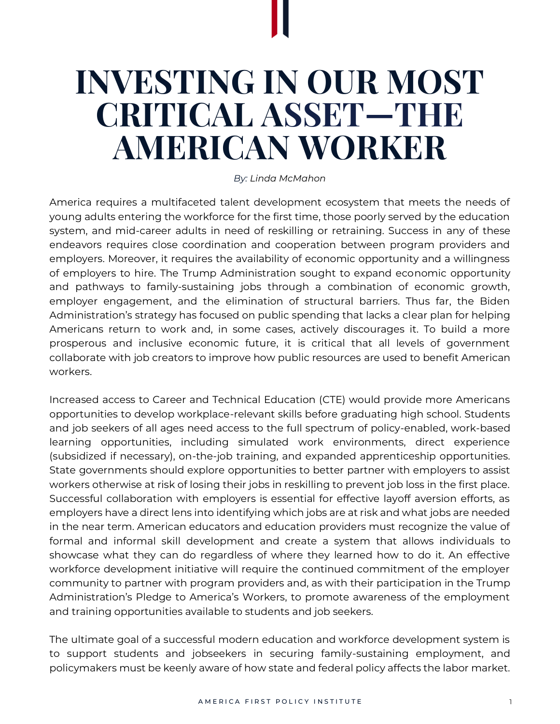# **INVESTING IN OUR MOST CRITICAL ASSET—THE AMERICAN WORKER**

#### *By: Linda McMahon*

America requires a multifaceted talent development ecosystem that meets the needs of young adults entering the workforce for the first time, those poorly served by the education system, and mid-career adults in need of reskilling or retraining. Success in any of these endeavors requires close coordination and cooperation between program providers and employers. Moreover, it requires the availability of economic opportunity and a willingness of employers to hire. The Trump Administration sought to expand economic opportunity and pathways to family-sustaining jobs through a combination of economic growth, employer engagement, and the elimination of structural barriers. Thus far, the Biden Administration's strategy has focused on public spending that lacks a clear plan for helping Americans return to work and, in some cases, actively discourages it. To build a more prosperous and inclusive economic future, it is critical that all levels of government collaborate with job creators to improve how public resources are used to benefit American workers.

Increased access to Career and Technical Education (CTE) would provide more Americans opportunities to develop workplace-relevant skills before graduating high school. Students and job seekers of all ages need access to the full spectrum of policy-enabled, work-based learning opportunities, including simulated work environments, direct experience (subsidized if necessary), on-the-job training, and expanded apprenticeship opportunities. State governments should explore opportunities to better partner with employers to assist workers otherwise at risk of losing their jobs in reskilling to prevent job loss in the first place. Successful collaboration with employers is essential for effective layoff aversion efforts, as employers have a direct lens into identifying which jobs are at risk and what jobs are needed in the near term. American educators and education providers must recognize the value of formal and informal skill development and create a system that allows individuals to showcase what they can do regardless of where they learned how to do it. An effective workforce development initiative will require the continued commitment of the employer community to partner with program providers and, as with their participation in the Trump Administration's Pledge to America's Workers, to promote awareness of the employment and training opportunities available to students and job seekers.

The ultimate goal of a successful modern education and workforce development system is to support students and jobseekers in securing family-sustaining employment, and policymakers must be keenly aware of how state and federal policy affects the labor market.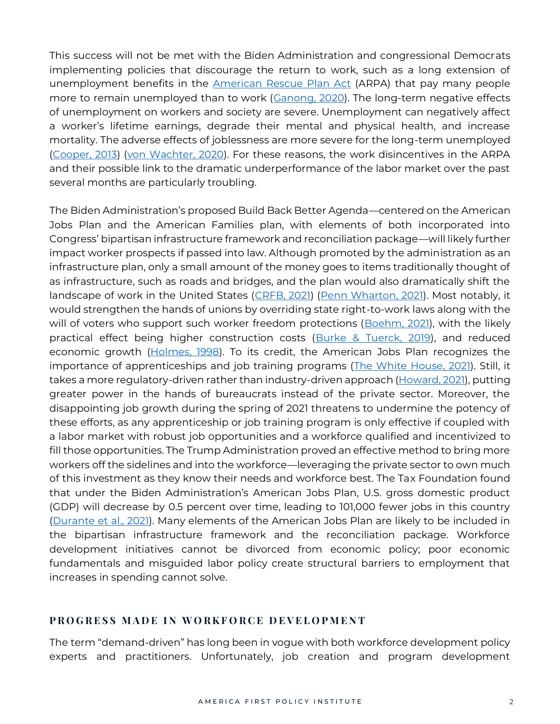This success will not be met with the Biden Administration and congressional Democrats implementing policies that discourage the return to work, such as a long extension of unemployment benefits in the [American Rescue Plan Act](https://www.congress.gov/bill/117th-congress/house-bill/1319) (ARPA) that pay many people more to remain unemployed than to work [\(Ganong, 2020\)](https://cpb-us-w2.wpmucdn.com/voices.uchicago.edu/dist/1/801/files/2018/08/1-s2.0-S0047272720301377-main.pdf). The long-term negative effects of unemployment on workers and society are severe. Unemployment can negatively affect a worker's lifetime earnings, degrade their mental and physical health, and increase mortality. The adverse effects of joblessness are more severe for the long-term unemployed [\(Cooper, 2013\)](https://www.bostonfed.org/publications/research-department-working-paper/2013/the-effect-of-unemployment-duration-on-future-earnings-and-other-outcomes.aspx) [\(von Wachter, 2020\)](https://www.aeaweb.org/articles?id=10.1257/jep.34.4.168). For these reasons, the work disincentives in the ARPA and their possible link to the dramatic underperformance of the labor market over the past several months are particularly troubling.

The Biden Administration's proposed Build Back Better Agenda—centered on the American Jobs Plan and the American Families plan, with elements of both incorporated into Congress' bipartisan infrastructure framework and reconciliation package—will likely further impact worker prospects if passed into law. Although promoted by the administration as an infrastructure plan, only a small amount of the money goes to items traditionally thought of as infrastructure, such as roads and bridges, and the plan would also dramatically shift the landscape of work in the United States [\(CRFB, 2021\)](https://www.crfb.org/blogs/whats-president-bidens-american-jobs-plan) [\(Penn Wharton, 2021\)](https://static1.squarespace.com/static/55693d60e4b06d83cf793431/t/606dd4abf6d59e5cb9b8ed01/1617810603717/President+Biden%E2%80%99s+%242.7+Trillion+American+Jobs+Plan_Budgetary+and+Macroeconomic+Effects.pdf). Most notably, it would strengthen the hands of unions by overriding state right-to-work laws along with the will of voters who support such worker freedom protections [\(Boehm, 2021\)](https://reason.com/2021/04/01/bidens-infrastructure-plan-would-overturn-right-to-work-laws-in-27-states/), with the likely practical effect being higher construction costs [\(Burke & Tuerck, 2019\)](https://www.heartland.org/_template-assets/documents/publications/BHI-PLA-NJ-Report-20190826FINAL.pdf), and reduced economic growth [\(Holmes, 1998\)](https://www.jstor.org/stable/10.1086/250026?seq=1). To its credit, the American Jobs Plan recognizes the importance of apprenticeships and job training programs [\(The White House, 2021\)](https://www.whitehouse.gov/briefing-room/statements-releases/2021/03/31/fact-sheet-the-american-jobs-plan/). Still, it takes a more regulatory-driven rather than industry-driven approach [\(Howard, 2021\)](https://www.employmentlawhandbook.com/uncategorized/biden-freezes-trump-administration-apprenticeship-program/), putting greater power in the hands of bureaucrats instead of the private sector. Moreover, the disappointing job growth during the spring of 2021 threatens to undermine the potency of these efforts, as any apprenticeship or job training program is only effective if coupled with a labor market with robust job opportunities and a workforce qualified and incentivized to fill those opportunities. The Trump Administration proved an effective method to bring more workers off the sidelines and into the workforce—leveraging the private sector to own much of this investment as they know their needs and workforce best. The Tax Foundation found that under the Biden Administration's American Jobs Plan, U.S. gross domestic product (GDP) will decrease by 0.5 percent over time, leading to 101,000 fewer jobs in this country [\(Durante et al., 2021\)](https://taxfoundation.org/american-jobs-plan/). Many elements of the American Jobs Plan are likely to be included in the bipartisan infrastructure framework and the reconciliation package. Workforce development initiatives cannot be divorced from economic policy; poor economic fundamentals and misguided labor policy create structural barriers to employment that increases in spending cannot solve.

#### **PROGRESS MADE IN WORKFORCE DEVELOPMENT**

The term "demand-driven" has long been in vogue with both workforce development policy experts and practitioners. Unfortunately, job creation and program development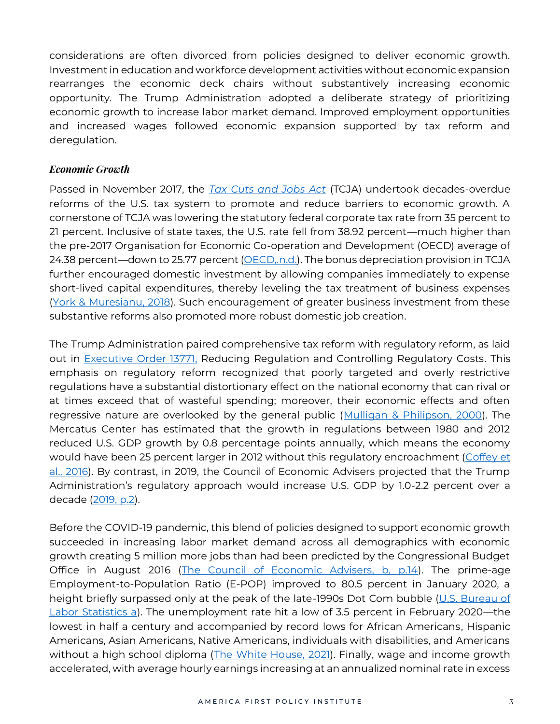considerations are often divorced from policies designed to deliver economic growth. Investment in education and workforce development activities without economic expansion rearranges the economic deck chairs without substantively increasing economic opportunity. The Trump Administration adopted a deliberate strategy of prioritizing economic growth to increase labor market demand. Improved employment opportunities and increased wages followed economic expansion supported by tax reform and deregulation.

## *Economic Growth*

Passed in November 2017, the *[Tax Cuts and Jobs Act](https://www.congress.gov/bill/115th-congress/house-bill/1/text/eh)* (TCJA) undertook decades-overdue reforms of the U.S. tax system to promote and reduce barriers to economic growth. A cornerstone of TCJA was lowering the statutory federal corporate tax rate from 35 percent to 21 percent. Inclusive of state taxes, the U.S. rate fell from 38.92 percent—much higher than the pre-2017 Organisation for Economic Co-operation and Development (OECD) average of 24.38 percent—down to 25.77 percent [\(OECD,](https://stats.oecd.org/Index.aspx?DataSetCode=TABLE_II1) n.d.). The bonus depreciation provision in TCJA further encouraged domestic investment by allowing companies immediately to expense short-lived capital expenditures, thereby leveling the tax treatment of business expenses [\(York & Muresianu, 2018\)](https://taxfoundation.org/tcja-expensing-provision-benefits/). Such encouragement of greater business investment from these substantive reforms also promoted more robust domestic job creation.

The Trump Administration paired comprehensive tax reform with regulatory reform, as laid out in [Executive Order 13771,](https://www.federalregister.gov/documents/2021/01/25/2021-01767/revocation-of-certain-executive-orders-concerning-federal-regulation) Reducing Regulation and Controlling Regulatory Costs. This emphasis on regulatory reform recognized that poorly targeted and overly restrictive regulations have a substantial distortionary effect on the national economy that can rival or at times exceed that of wasteful spending; moreover, their economic effects and often regressive nature are overlooked by the general public [\(Mulligan & Philipson, 2000\)](https://www.nber.org/system/files/working_papers/w7698/w7698.pdf). The Mercatus Center has estimated that the growth in regulations between 1980 and 2012 reduced U.S. GDP growth by 0.8 percentage points annually, which means the economy would have been 25 percent larger in 2012 without this regulatory encroachment (Coffey et [al., 2016\)](https://www.mercatus.org/system/files/Coffey-Cumulative-Cost-Regs-v3.pdf). By contrast, in 2019, the Council of Economic Advisers projected that the Trump Administration's regulatory approach would increase U.S. GDP by 1.0-2.2 percent over a decade [\(2019, p.2\)](https://www.banking.senate.gov/imo/media/doc/The-Economic-Effects-of-Federal-Deregulation-Interim-Report.pdf).

Before the COVID-19 pandemic, this blend of policies designed to support economic growth succeeded in increasing labor market demand across all demographics with economic growth creating 5 million more jobs than had been predicted by the Congressional Budget Office in August 2016 [\(The Council of Economic Advisers, b, p.14\)](https://www.govinfo.gov/content/pkg/ERP-2021/pdf/ERP-2021.pdf). The prime-age Employment-to-Population Ratio (E-POP) improved to 80.5 percent in January 2020, a height briefly surpassed only at the peak of the late-1990s Dot Com bubble (U.S. Bureau of [Labor Statistics a\)](https://fred.stlouisfed.org/series/LNS12300060). The unemployment rate hit a low of 3.5 percent in February 2020—the lowest in half a century and accompanied by record lows for African Americans, Hispanic Americans, Asian Americans, Native Americans, individuals with disabilities, and Americans without a high school diploma [\(The White House, 2021\)](https://trumpwhitehouse.archives.gov/trump-administration-accomplishments/). Finally, wage and income growth accelerated, with average hourly earnings increasing at an annualized nominal rate in excess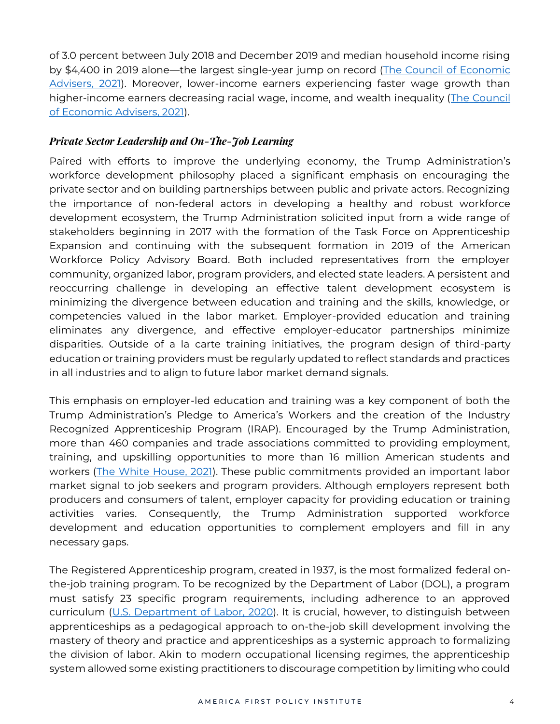of 3.0 percent between July 2018 and December 2019 and median household income rising by \$4,400 in 2019 alone—the largest single-year jump on record [\(The Council of Economic](https://www.govinfo.gov/content/pkg/ERP-2021/pdf/ERP-2021.pdf)  [Advisers, 2021\)](https://www.govinfo.gov/content/pkg/ERP-2021/pdf/ERP-2021.pdf). Moreover, lower-income earners experiencing faster wage growth than higher-income earners decreasing racial wage, income, and wealth inequality [\(The Council](https://www.govinfo.gov/content/pkg/ERP-2021/pdf/ERP-2021.pdf)  [of Economic Advisers, 2021\)](https://www.govinfo.gov/content/pkg/ERP-2021/pdf/ERP-2021.pdf).

## *Private Sector Leadership and On-The-Job Learning*

Paired with efforts to improve the underlying economy, the Trump Administration's workforce development philosophy placed a significant emphasis on encouraging the private sector and on building partnerships between public and private actors. Recognizing the importance of non-federal actors in developing a healthy and robust workforce development ecosystem, the Trump Administration solicited input from a wide range of stakeholders beginning in 2017 with the formation of the Task Force on Apprenticeship Expansion and continuing with the subsequent formation in 2019 of the American Workforce Policy Advisory Board. Both included representatives from the employer community, organized labor, program providers, and elected state leaders. A persistent and reoccurring challenge in developing an effective talent development ecosystem is minimizing the divergence between education and training and the skills, knowledge, or competencies valued in the labor market. Employer-provided education and training eliminates any divergence, and effective employer-educator partnerships minimize disparities. Outside of a la carte training initiatives, the program design of third-party education or training providers must be regularly updated to reflect standards and practices in all industries and to align to future labor market demand signals.

This emphasis on employer-led education and training was a key component of both the Trump Administration's Pledge to America's Workers and the creation of the Industry Recognized Apprenticeship Program (IRAP). Encouraged by the Trump Administration, more than 460 companies and trade associations committed to providing employment, training, and upskilling opportunities to more than 16 million American students and workers [\(The White House, 2021\)](https://trumpwhitehouse.archives.gov/trump-administration-accomplishments/). These public commitments provided an important labor market signal to job seekers and program providers. Although employers represent both producers and consumers of talent, employer capacity for providing education or training activities varies. Consequently, the Trump Administration supported workforce development and education opportunities to complement employers and fill in any necessary gaps.

The Registered Apprenticeship program, created in 1937, is the most formalized federal onthe-job training program. To be recognized by the Department of Labor (DOL), a program must satisfy 23 specific program requirements, including adherence to an approved curriculum [\(U.S. Department of Labor, 2020\)](https://www.dol.gov/agencies/eta/apprenticeship/about/statistics/2020). It is crucial, however, to distinguish between apprenticeships as a pedagogical approach to on-the-job skill development involving the mastery of theory and practice and apprenticeships as a systemic approach to formalizing the division of labor. Akin to modern occupational licensing regimes, the apprenticeship system allowed some existing practitioners to discourage competition by limiting who could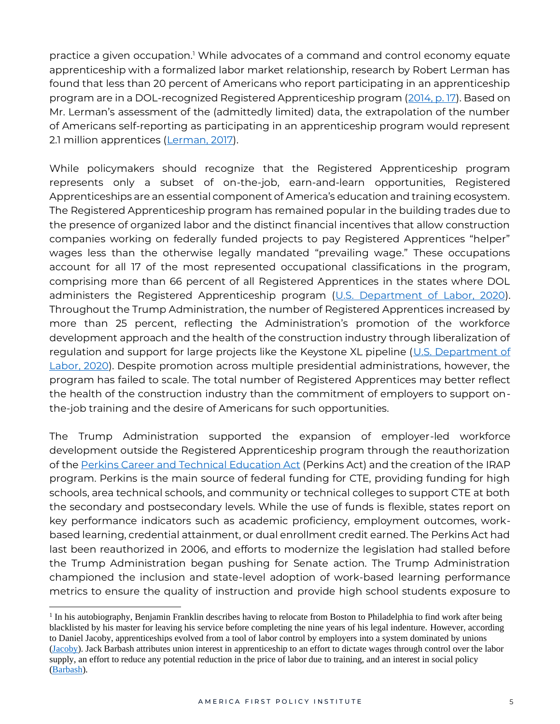practice a given occupation.<sup>1</sup> While advocates of a command and control economy equate apprenticeship with a formalized labor market relationship, research by Robert Lerman has found that less than 20 percent of Americans who report participating in an apprenticeship program are in a DOL-recognized Registered Apprenticeship program [\(2014, p. 17\)](https://sites.nationalacademies.org/cs/groups/pgasite/documents/webpage/pga_168146.pdf). Based on Mr. Lerman's assessment of the (admittedly limited) data, the extrapolation of the number of Americans self-reporting as participating in an apprenticeship program would represent 2.1 million apprentices [\(Lerman,](https://sites.nationalacademies.org/cs/groups/pgasite/documents/webpage/pga_168146.pdf) 2017).

While policymakers should recognize that the Registered Apprenticeship program represents only a subset of on-the-job, earn-and-learn opportunities, Registered Apprenticeships are an essential component of America's education and training ecosystem. The Registered Apprenticeship program has remained popular in the building trades due to the presence of organized labor and the distinct financial incentives that allow construction companies working on federally funded projects to pay Registered Apprentices "helper" wages less than the otherwise legally mandated "prevailing wage." These occupations account for all 17 of the most represented occupational classifications in the program, comprising more than 66 percent of all Registered Apprentices in the states where DOL administers the Registered Apprenticeship program [\(U.S. Department of Labor, 2020\)](https://www.dol.gov/agencies/eta/apprenticeship/about/statistics). Throughout the Trump Administration, the number of Registered Apprentices increased by more than 25 percent, reflecting the Administration's promotion of the workforce development approach and the health of the construction industry through liberalization of regulation and support for large projects like the Keystone XL pipeline (U.S. Department of [Labor, 2020\)](https://www.dol.gov/agencies/eta/apprenticeship/about/statistics/2020). Despite promotion across multiple presidential administrations, however, the program has failed to scale. The total number of Registered Apprentices may better reflect the health of the construction industry than the commitment of employers to support onthe-job training and the desire of Americans for such opportunities.

The Trump Administration supported the expansion of employer-led workforce development outside the Registered Apprenticeship program through the reauthorization of the [Perkins Career and Technical Education Act](https://www.congress.gov/bill/115th-congress/house-bill/2353) (Perkins Act) and the creation of the IRAP program. Perkins is the main source of federal funding for CTE, providing funding for high schools, area technical schools, and community or technical colleges to support CTE at both the secondary and postsecondary levels. While the use of funds is flexible, states report on key performance indicators such as academic proficiency, employment outcomes, workbased learning, credential attainment, or dual enrollment credit earned. The Perkins Act had last been reauthorized in 2006, and efforts to modernize the legislation had stalled before the Trump Administration began pushing for Senate action. The Trump Administration championed the inclusion and state-level adoption of work-based learning performance metrics to ensure the quality of instruction and provide high school students exposure to

<sup>&</sup>lt;sup>1</sup> In his autobiography, Benjamin Franklin describes having to relocate from Boston to Philadelphia to find work after being blacklisted by his master for leaving his service before completing the nine years of his legal indenture. However, according to Daniel Jacoby, apprenticeships evolved from a tool of labor control by employers into a system dominated by unions [\(Jacoby\)](https://www.jstor.org/stable/2123397?seq=1). Jack Barbash attributes union interest in apprenticeship to an effort to dictate wages through control over the labor supply, an effort to reduce any potential reduction in the price of labor due to training, and an interest in social policy [\(Barbash\)](https://www.jstor.org/stable/144648?seq=1).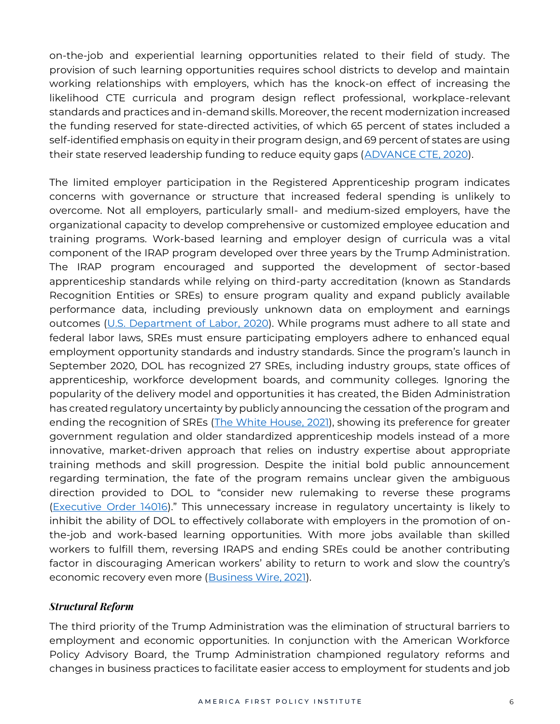on-the-job and experiential learning opportunities related to their field of study. The provision of such learning opportunities requires school districts to develop and maintain working relationships with employers, which has the knock-on effect of increasing the likelihood CTE curricula and program design reflect professional, workplace-relevant standards and practices and in-demand skills. Moreover, the recent modernization increased the funding reserved for state-directed activities, of which 65 percent of states included a self-identified emphasis on equity in their program design, and 69 percent of states are using their state reserved leadership funding to reduce equity gaps [\(ADVANCE CTE, 2020\)](https://cte.careertech.org/sites/default/files/documents/fact-sheets/CTE_and_Student_Achievement_2020_0.pdf).

The limited employer participation in the Registered Apprenticeship program indicates concerns with governance or structure that increased federal spending is unlikely to overcome. Not all employers, particularly small- and medium-sized employers, have the organizational capacity to develop comprehensive or customized employee education and training programs. Work-based learning and employer design of curricula was a vital component of the IRAP program developed over three years by the Trump Administration. The IRAP program encouraged and supported the development of sector-based apprenticeship standards while relying on third-party accreditation (known as Standards Recognition Entities or SREs) to ensure program quality and expand publicly available performance data, including previously unknown data on employment and earnings outcomes [\(U.S. Department of Labor, 2020\)](https://www.govinfo.gov/content/pkg/FR-2020-03-11/pdf/2020-03605.pdf). While programs must adhere to all state and federal labor laws, SREs must ensure participating employers adhere to enhanced equal employment opportunity standards and industry standards. Since the program's launch in September 2020, DOL has recognized 27 SREs, including industry groups, state offices of apprenticeship, workforce development boards, and community colleges. Ignoring the popularity of the delivery model and opportunities it has created, the Biden Administration has created regulatory uncertainty by publicly announcing the cessation of the program and ending the recognition of SREs [\(The White House, 2021\)](https://www.whitehouse.gov/briefing-room/statements-releases/2021/02/17/fact-sheet-biden-administration-to-take-steps-to-bolster-registered-apprenticeships/), showing its preference for greater government regulation and older standardized apprenticeship models instead of a more innovative, market-driven approach that relies on industry expertise about appropriate training methods and skill progression. Despite the initial bold public announcement regarding termination, the fate of the program remains unclear given the ambiguous direction provided to DOL to "consider new rulemaking to reverse these programs [\(Executive Order 14016](https://www.federalregister.gov/documents/2021/02/23/2021-03874/revocation-of-executive-order-13801))." This unnecessary increase in regulatory uncertainty is likely to inhibit the ability of DOL to effectively collaborate with employers in the promotion of onthe-job and work-based learning opportunities. With more jobs available than skilled workers to fulfill them, reversing IRAPS and ending SREs could be another contributing factor in discouraging American workers' ability to return to work and slow the country's economic recovery even more [\(Business Wire, 2021\)](https://www.businesswire.com/news/home/20210318005265/en/U.S.-Skilled-Trades-Labor-Shortage-Heightens-as-In-Demand-Jobs-Remain-Unfilled-the-Longest#:~:text=U.S.-,Skilled%20Trades%20Labor%20Shortage%20Heightens%20as%20In,Jobs%20Remain%20Unfilled%20the%20Longest&text=A%20new%20analysis%20by%20the,the%20shortage%20of%20qualified%20workers).

#### *Structural Reform*

The third priority of the Trump Administration was the elimination of structural barriers to employment and economic opportunities. In conjunction with the American Workforce Policy Advisory Board, the Trump Administration championed regulatory reforms and changes in business practices to facilitate easier access to employment for students and job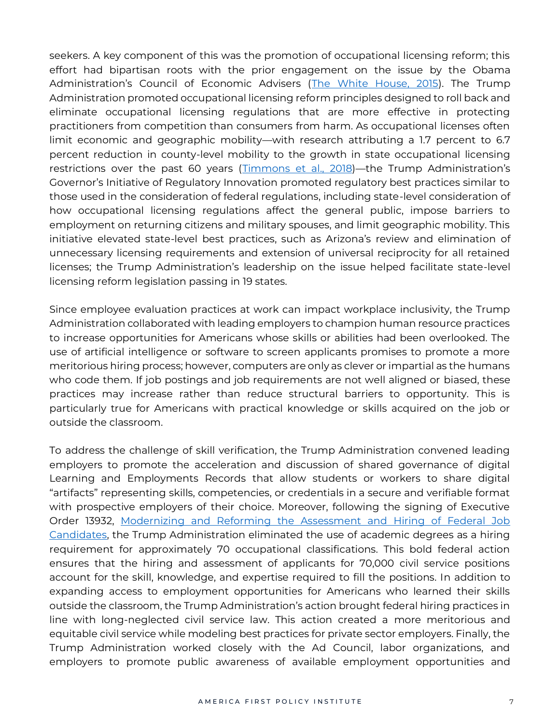seekers. A key component of this was the promotion of occupational licensing reform; this effort had bipartisan roots with the prior engagement on the issue by the Obama Administration's Council of Economic Advisers ([The White House, 2015\)](https://obamawhitehouse.archives.gov/sites/default/files/docs/licensing_report_final_nonembargo.pdf). The Trump Administration promoted occupational licensing reform principles designed to roll back and eliminate occupational licensing regulations that are more effective in protecting practitioners from competition than consumers from harm. As occupational licenses often limit economic and geographic mobility—with research attributing a 1.7 percent to 6.7 percent reduction in county-level mobility to the growth in state occupational licensing restrictions over the past 60 years [\(Timmons et al., 2018\)](https://www.archbridgeinstitute.org/wp-content/uploads/2018/04/Too-Much-License-1.pdf)—the Trump Administration's Governor's Initiative of Regulatory Innovation promoted regulatory best practices similar to those used in the consideration of federal regulations, including state-level consideration of how occupational licensing regulations affect the general public, impose barriers to employment on returning citizens and military spouses, and limit geographic mobility. This initiative elevated state-level best practices, such as Arizona's review and elimination of unnecessary licensing requirements and extension of universal reciprocity for all retained licenses; the Trump Administration's leadership on the issue helped facilitate state-level licensing reform legislation passing in 19 states.

Since employee evaluation practices at work can impact workplace inclusivity, the Trump Administration collaborated with leading employers to champion human resource practices to increase opportunities for Americans whose skills or abilities had been overlooked. The use of artificial intelligence or software to screen applicants promises to promote a more meritorious hiring process; however, computers are only as clever or impartial as the humans who code them. If job postings and job requirements are not well aligned or biased, these practices may increase rather than reduce structural barriers to opportunity. This is particularly true for Americans with practical knowledge or skills acquired on the job or outside the classroom.

To address the challenge of skill verification, the Trump Administration convened leading employers to promote the acceleration and discussion of shared governance of digital Learning and Employments Records that allow students or workers to share digital "artifacts" representing skills, competencies, or credentials in a secure and verifiable format with prospective employers of their choice. Moreover, following the signing of Executive Order 13932, [Modernizing and Reforming the Assessment and Hiring of Federal Job](https://www.federalregister.gov/documents/2020/07/01/2020-14337/modernizing-and-reforming-the-assessment-and-hiring-of-federal-job-candidates)  [Candidates,](https://www.federalregister.gov/documents/2020/07/01/2020-14337/modernizing-and-reforming-the-assessment-and-hiring-of-federal-job-candidates) the Trump Administration eliminated the use of academic degrees as a hiring requirement for approximately 70 occupational classifications. This bold federal action ensures that the hiring and assessment of applicants for 70,000 civil service positions account for the skill, knowledge, and expertise required to fill the positions. In addition to expanding access to employment opportunities for Americans who learned their skills outside the classroom, the Trump Administration's action brought federal hiring practices in line with long-neglected civil service law. This action created a more meritorious and equitable civil service while modeling best practices for private sector employers. Finally, the Trump Administration worked closely with the Ad Council, labor organizations, and employers to promote public awareness of available employment opportunities and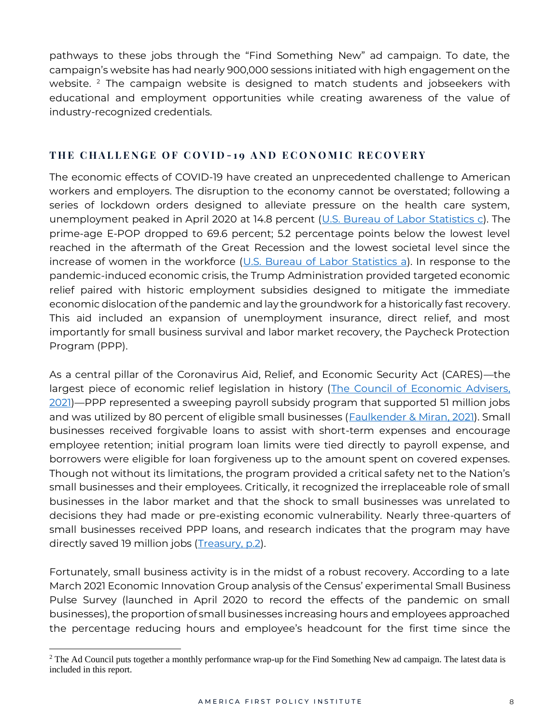pathways to these jobs through the "Find Something New" ad campaign. To date, the campaign's website has had nearly 900,000 sessions initiated with high engagement on the website.  $2$  The campaign website is designed to match students and jobseekers with educational and employment opportunities while creating awareness of the value of industry-recognized credentials.

## THE CHALLENGE OF COVID-19 AND ECONOMIC RECOVERY

The economic effects of COVID-19 have created an unprecedented challenge to American workers and employers. The disruption to the economy cannot be overstated; following a series of lockdown orders designed to alleviate pressure on the health care system, unemployment peaked in April 2020 at 14.8 percent [\(U.S. Bureau of Labor Statistics c\)](https://fred.stlouisfed.org/series/UNRATE/). The prime-age E-POP dropped to 69.6 percent; 5.2 percentage points below the lowest level reached in the aftermath of the Great Recession and the lowest societal level since the increase of women in the workforce [\(U.S. Bureau of Labor Statistics a\)](https://fred.stlouisfed.org/series/LNS12300060). In response to the pandemic-induced economic crisis, the Trump Administration provided targeted economic relief paired with historic employment subsidies designed to mitigate the immediate economic dislocation of the pandemic and lay the groundwork for a historically fast recovery. This aid included an expansion of unemployment insurance, direct relief, and most importantly for small business survival and labor market recovery, the Paycheck Protection Program (PPP).

As a central pillar of the Coronavirus Aid, Relief, and Economic Security Act (CARES)—the largest piece of economic relief legislation in history [\(The Council of Economic Advisers,](https://www.govinfo.gov/content/pkg/ERP-2021/pdf/ERP-2021.pdf)  [2021\)](https://www.govinfo.gov/content/pkg/ERP-2021/pdf/ERP-2021.pdf)—PPP represented a sweeping payroll subsidy program that supported 51 million jobs and was utilized by 80 percent of eligible small businesses [\(Faulkender & Miran, 2021\)](https://papers.ssrn.com/sol3/papers.cfm?abstract_id=3767509). Small businesses received forgivable loans to assist with short-term expenses and encourage employee retention; initial program loan limits were tied directly to payroll expense, and borrowers were eligible for loan forgiveness up to the amount spent on covered expenses. Though not without its limitations, the program provided a critical safety net to the Nation's small businesses and their employees. Critically, it recognized the irreplaceable role of small businesses in the labor market and that the shock to small businesses was unrelated to decisions they had made or pre-existing economic vulnerability. Nearly three-quarters of small businesses received PPP loans, and research indicates that the program may have directly saved 19 million jobs [\(Treasury, p.2\)](https://home.treasury.gov/system/files/226/Job-Preservation-Effects-Paycheck-Protection-Program-Loans.pdf).

Fortunately, small business activity is in the midst of a robust recovery. According to a late March 2021 Economic Innovation Group analysis of the Census' experimental Small Business Pulse Survey (launched in April 2020 to record the effects of the pandemic on small businesses), the proportion of small businesses increasing hours and employees approached the percentage reducing hours and employee's headcount for the first time since the

<sup>&</sup>lt;sup>2</sup> The Ad Council puts together a monthly performance wrap-up for the Find Something New ad campaign. The latest data is included in this report.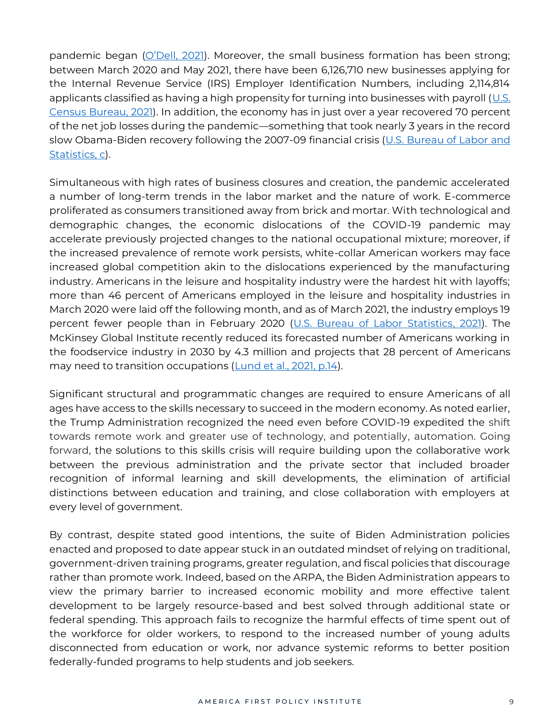pandemic began ([O'Dell, 2021](https://eig.org/news/taking-the-pulse-of-americas-small-business-sector-march-26th)). Moreover, the small business formation has been strong; between March 2020 and May 2021, there have been 6,126,710 new businesses applying for the Internal Revenue Service (IRS) Employer Identification Numbers, including 2,114,814 applicants classified as having a high propensity for turning into businesses with payroll (U.S. [Census Bureau, 2021\)](https://www.census.gov/econ/currentdata/dbsearch?program=BFS&startYear=2020&endYear=2021&categories=TOTAL&dataType=BA_HBA&geoLevel=US&adjusted=1¬Adjusted=1&submit=GET+DATA&releaseScheduleId=). In addition, the economy has in just over a year recovered 70 percent of the net job losses during the pandemic—something that took nearly 3 years in the record slow Obama-Biden recovery following the 2007-09 financial crisis (U.S. Bureau of Labor and [Statistics, c\)](https://fred.stlouisfed.org/series/PAYEMS).

Simultaneous with high rates of business closures and creation, the pandemic accelerated a number of long-term trends in the labor market and the nature of work. E-commerce proliferated as consumers transitioned away from brick and mortar. With technological and demographic changes, the economic dislocations of the COVID-19 pandemic may accelerate previously projected changes to the national occupational mixture; moreover, if the increased prevalence of remote work persists, white-collar American workers may face increased global competition akin to the dislocations experienced by the manufacturing industry. Americans in the leisure and hospitality industry were the hardest hit with layoffs; more than 46 percent of Americans employed in the leisure and hospitality industries in March 2020 were laid off the following month, and as of March 2021, the industry employs 19 percent fewer people than in February 2020 [\(U.S. Bureau of Labor Statistics,](https://data.bls.gov/timeseries/CES7000000001?amp%253bdata_tool=XGtable&output_view=data&include_graphs=true) 2021). The McKinsey Global Institute recently reduced its forecasted number of Americans working in the foodservice industry in 2030 by 4.3 million and projects that 28 percent of Americans may need to transition occupations [\(Lund et al., 2021, p.14\)](https://www.mckinsey.com/featured-insights/future-of-work/the-future-of-work-after-covid-19).

Significant structural and programmatic changes are required to ensure Americans of all ages have access to the skills necessary to succeed in the modern economy. As noted earlier, the Trump Administration recognized the need even before COVID-19 expedited the shift towards remote work and greater use of technology, and potentially, automation. Going forward, the solutions to this skills crisis will require building upon the collaborative work between the previous administration and the private sector that included broader recognition of informal learning and skill developments, the elimination of artificial distinctions between education and training, and close collaboration with employers at every level of government.

By contrast, despite stated good intentions, the suite of Biden Administration policies enacted and proposed to date appear stuck in an outdated mindset of relying on traditional, government-driven training programs, greater regulation, and fiscal policies that discourage rather than promote work. Indeed, based on the ARPA, the Biden Administration appears to view the primary barrier to increased economic mobility and more effective talent development to be largely resource-based and best solved through additional state or federal spending. This approach fails to recognize the harmful effects of time spent out of the workforce for older workers, to respond to the increased number of young adults disconnected from education or work, nor advance systemic reforms to better position federally-funded programs to help students and job seekers.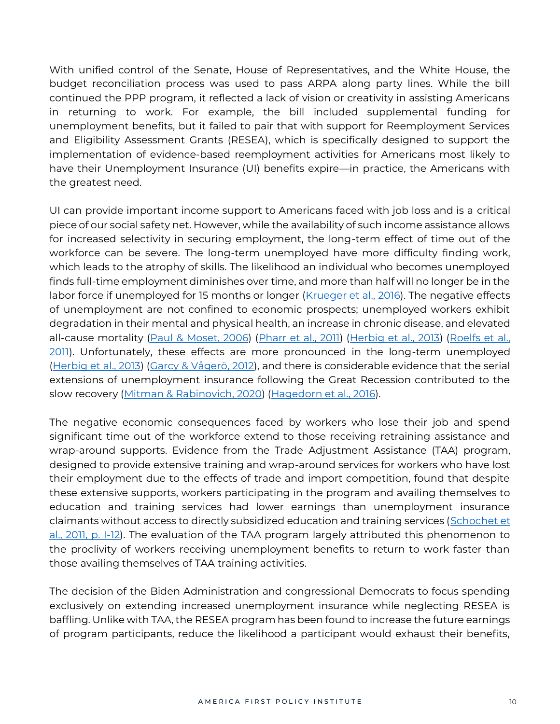With unified control of the Senate, House of Representatives, and the White House, the budget reconciliation process was used to pass ARPA along party lines. While the bill continued the PPP program, it reflected a lack of vision or creativity in assisting Americans in returning to work. For example, the bill included supplemental funding for unemployment benefits, but it failed to pair that with support for Reemployment Services and Eligibility Assessment Grants (RESEA), which is specifically designed to support the implementation of evidence-based reemployment activities for Americans most likely to have their Unemployment Insurance (UI) benefits expire—in practice, the Americans with the greatest need.

UI can provide important income support to Americans faced with job loss and is a critical piece of our social safety net. However, while the availability of such income assistance allows for increased selectivity in securing employment, the long-term effect of time out of the workforce can be severe. The long-term unemployed have more difficulty finding work, which leads to the atrophy of skills. The likelihood an individual who becomes unemployed finds full-time employment diminishes over time, and more than half will no longer be in the labor force if unemployed for 15 months or longer (*Krueger et al., 2016*). The negative effects of unemployment are not confined to economic prospects; unemployed workers exhibit degradation in their mental and physical health, an increase in chronic disease, and elevated all-cause mortality [\(Paul & Moset, 2006\)](http://citeseerx.ist.psu.edu/viewdoc/download?doi=10.1.1.334.1027&rep=rep1&type=pdf) [\(Pharr et al., 2011\)](https://www.hindawi.com/journals/isrn/2012/483432/) (Herbig et al., 2013) (Roelfs et al., [2011\)](https://doi.org/10.1016/j.socscimed.2011.01.005). Unfortunately, these effects are more pronounced in the long-term unemployed [\(Herbig et al., 2013\)](https://www.ncbi.nlm.nih.gov/pmc/articles/PMC3702026/#:~:text=Large%2Dscale%20meta%2Danalyses%20and,mortality%20is%201.6%2Dfold%20higher.) ([Garcy & Vågerö, 2012](about:blank)), and there is considerable evidence that the serial extensions of unemployment insurance following the Great Recession contributed to the slow recovery [\(Mitman & Rabinovich, 2020\)](http://ftp.iza.org/dp12365.pdf) [\(Hagedorn et al., 2016\)](https://www.sas.upenn.edu/~manovski/papers/UI_and_E_2014_Employment_Miracle.pdf).

The negative economic consequences faced by workers who lose their job and spend significant time out of the workforce extend to those receiving retraining assistance and wrap-around supports. Evidence from the Trade Adjustment Assistance (TAA) program, designed to provide extensive training and wrap-around services for workers who have lost their employment due to the effects of trade and import competition, found that despite these extensive supports, workers participating in the program and availing themselves to education and training services had lower earnings than unemployment insurance claimants without access to directly subsidized education and training services (Schochet et [al., 2011, p. I-12\)](https://wdr.doleta.gov/research/FullText_Documents/ETAOP_2013_10_Participant_Impact_Report.pdf). The evaluation of the TAA program largely attributed this phenomenon to the proclivity of workers receiving unemployment benefits to return to work faster than those availing themselves of TAA training activities.

The decision of the Biden Administration and congressional Democrats to focus spending exclusively on extending increased unemployment insurance while neglecting RESEA is baffling. Unlike with TAA, the RESEA program has been found to increase the future earnings of program participants, reduce the likelihood a participant would exhaust their benefits,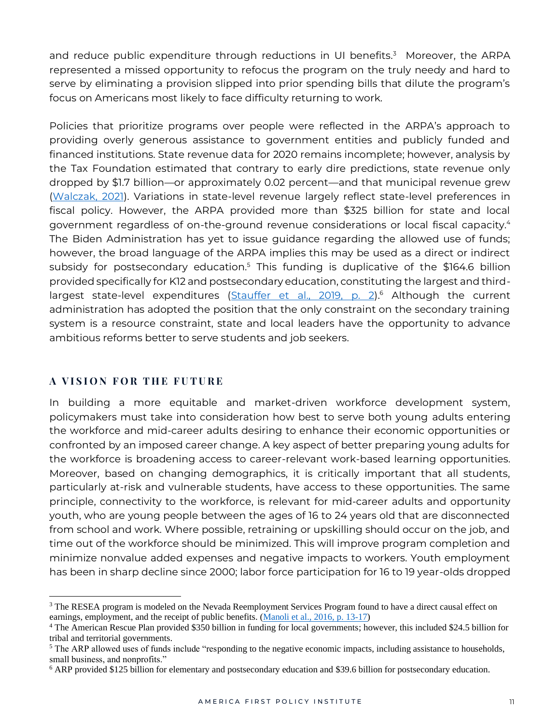and reduce public expenditure through reductions in UI benefits.<sup>3</sup> Moreover, the ARPA represented a missed opportunity to refocus the program on the truly needy and hard to serve by eliminating a provision slipped into prior spending bills that dilute the program's focus on Americans most likely to face difficulty returning to work.

Policies that prioritize programs over people were reflected in the ARPA's approach to providing overly generous assistance to government entities and publicly funded and financed institutions. State revenue data for 2020 remains incomplete; however, analysis by the Tax Foundation estimated that contrary to early dire predictions, state revenue only dropped by \$1.7 billion—or approximately 0.02 percent—and that municipal revenue grew [\(Walczak, 2021\)](https://taxfoundation.org/state-and-local-aid-american-rescue-plan/). Variations in state-level revenue largely reflect state-level preferences in fiscal policy. However, the ARPA provided more than \$325 billion for state and local government regardless of on-the-ground revenue considerations or local fiscal capacity.<sup>4</sup> The Biden Administration has yet to issue guidance regarding the allowed use of funds; however, the broad language of the ARPA implies this may be used as a direct or indirect subsidy for postsecondary education.<sup>5</sup> This funding is duplicative of the \$164.6 billion provided specifically for K12 and postsecondary education, constituting the largest and third-largest state-level expenditures [\(Stauffer et al., 2019, p. 2\)](https://www.pewtrusts.org/en/research-and-analysis/issue-briefs/2019/10/two-decades-of-change-in-federal-and-state-higher-education-funding).<sup>6</sup> Although the current administration has adopted the position that the only constraint on the secondary training system is a resource constraint, state and local leaders have the opportunity to advance ambitious reforms better to serve students and job seekers.

## **A VISION FOR THE FUTURE**

In building a more equitable and market-driven workforce development system, policymakers must take into consideration how best to serve both young adults entering the workforce and mid-career adults desiring to enhance their economic opportunities or confronted by an imposed career change. A key aspect of better preparing young adults for the workforce is broadening access to career-relevant work-based learning opportunities. Moreover, based on changing demographics, it is critically important that all students, particularly at-risk and vulnerable students, have access to these opportunities. The same principle, connectivity to the workforce, is relevant for mid-career adults and opportunity youth, who are young people between the ages of 16 to 24 years old that are disconnected from school and work. Where possible, retraining or upskilling should occur on the job, and time out of the workforce should be minimized. This will improve program completion and minimize nonvalue added expenses and negative impacts to workers. Youth employment has been in sharp decline since 2000; labor force participation for 16 to 19 year-olds dropped

<sup>&</sup>lt;sup>3</sup> The RESEA program is modeled on the Nevada Reemployment Services Program found to have a direct causal effect on earnings, employment, and the receipt of public benefits. [\(Manoli et al., 2016, p. 13-17\)](http://www.daymanoli.com/wp-content/uploads/2018/03/Manoli_Michaelides_Patel-nvrea.pdf)

<sup>4</sup> The American Rescue Plan provided \$350 billion in funding for local governments; however, this included \$24.5 billion for tribal and territorial governments.

<sup>&</sup>lt;sup>5</sup> The ARP allowed uses of funds include "responding to the negative economic impacts, including assistance to households, small business, and nonprofits."

<sup>6</sup> ARP provided \$125 billion for elementary and postsecondary education and \$39.6 billion for postsecondary education.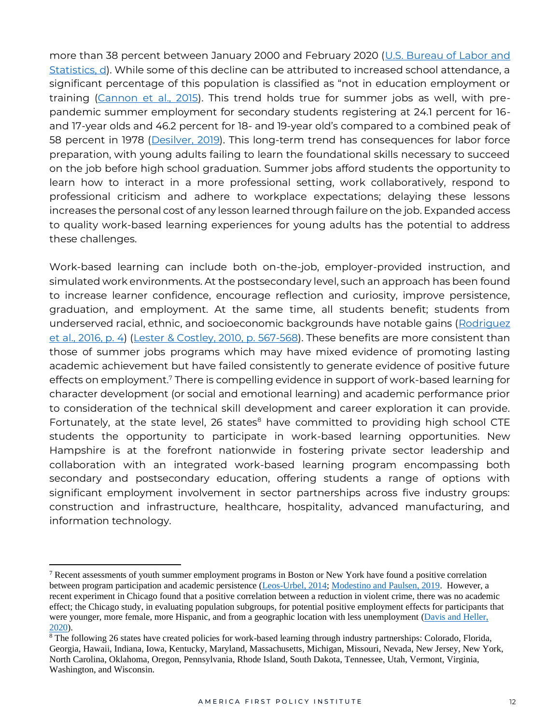more than 38 percent between January 2000 and February 2020 [\(U.S. Bureau of Labor and](https://fred.stlouisfed.org/series/LNS11300012)  [Statistics, d\)](https://fred.stlouisfed.org/series/LNS11300012). While some of this decline can be attributed to increased school attendance, a significant percentage of this population is classified as "not in education employment or training [\(Cannon et al., 2015\)](https://www.stlouisfed.org/publications/regional-economist/january-2015/youth-labor-force). This trend holds true for summer jobs as well, with prepandemic summer employment for secondary students registering at 24.1 percent for 16 and 17-year olds and 46.2 percent for 18- and 19-year old's compared to a combined peak of 58 percent in 1978 [\(Desilver, 2019\)](https://www.pewresearch.org/fact-tank/2019/06/27/teen-summer-jobs-in-us/). This long-term trend has consequences for labor force preparation, with young adults failing to learn the foundational skills necessary to succeed on the job before high school graduation. Summer jobs afford students the opportunity to learn how to interact in a more professional setting, work collaboratively, respond to professional criticism and adhere to workplace expectations; delaying these lessons increases the personal cost of any lesson learned through failure on the job. Expanded access to quality work-based learning experiences for young adults has the potential to address these challenges.

Work-based learning can include both on-the-job, employer-provided instruction, and simulated work environments. At the postsecondary level, such an approach has been found to increase learner confidence, encourage reflection and curiosity, improve persistence, graduation, and employment. At the same time, all students benefit; students from underserved racial, ethnic, and socioeconomic backgrounds have notable gains [\(Rodriguez](https://www.researchgate.net/profile/Stan_Lester/publication/255563651_Work-based_learning_at_higher_education_level_Value_practice_and_critique/links/545a05e30cf2cf5164840df8/Work-based-learning-at-higher-education-level-Value-practice-and-critique.pdf)  [et al., 2016, p. 4\)](https://www.researchgate.net/profile/Stan_Lester/publication/255563651_Work-based_learning_at_higher_education_level_Value_practice_and_critique/links/545a05e30cf2cf5164840df8/Work-based-learning-at-higher-education-level-Value-practice-and-critique.pdf) [\(Lester & Costley, 2010, p. 567-568\)](https://eric.ed.gov/?id=EJ893177). These benefits are more consistent than those of summer jobs programs which may have mixed evidence of promoting lasting academic achievement but have failed consistently to generate evidence of positive future effects on employment.<sup>7</sup> There is compelling evidence in support of work-based learning for character development (or social and emotional learning) and academic performance prior to consideration of the technical skill development and career exploration it can provide. Fortunately, at the state level, 26 states<sup>8</sup> have committed to providing high school CTE students the opportunity to participate in work-based learning opportunities. New Hampshire is at the forefront nationwide in fostering private sector leadership and collaboration with an integrated work-based learning program encompassing both secondary and postsecondary education, offering students a range of options with significant employment involvement in sector partnerships across five industry groups: construction and infrastructure, healthcare, hospitality, advanced manufacturing, and information technology.

 $7$  Recent assessments of youth summer employment programs in Boston or New York have found a positive correlation between program participation and academic persistence [\(Leos-Urbel, 2014;](about:blank) [Modestino and Paulsen, 2019.](about:blank#:~:text=We%20find%20that%20SYEP%20lottery,of%204%2Dto%2D1.) However, a recent experiment in Chicago found that a positive correlation between a reduction in violent crime, there was no academic effect; the Chicago study, in evaluating population subgroups, for potential positive employment effects for participants that were younger, more female, more Hispanic, and from a geographic location with less unemployment [\(Davis and Heller,](about:blank)  [2020\)](about:blank).

<sup>&</sup>lt;sup>8</sup> The following 26 states have created policies for work-based learning through industry partnerships: Colorado, Florida, Georgia, Hawaii, Indiana, Iowa, Kentucky, Maryland, Massachusetts, Michigan, Missouri, Nevada, New Jersey, New York, North Carolina, Oklahoma, Oregon, Pennsylvania, Rhode Island, South Dakota, Tennessee, Utah, Vermont, Virginia, Washington, and Wisconsin.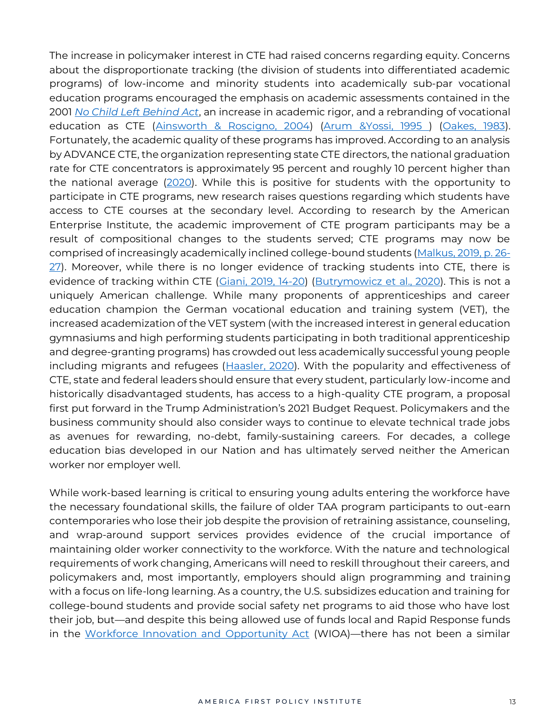The increase in policymaker interest in CTE had raised concerns regarding equity. Concerns about the disproportionate tracking (the division of students into differentiated academic programs) of low-income and minority students into academically sub-par vocational education programs encouraged the emphasis on academic assessments contained in the 2001 *[No Child Left Behind Act](https://www.congress.gov/bill/107th-congress/house-bill/1)*, an increase in academic rigor, and a rebranding of vocational education as CTE [\(Ainsworth & Roscigno, 2004\)](https://academic.oup.com/sf/article-abstract/84/1/257/2234888) [\(Arum &Yossi, 1995 \)](https://cadmus.eui.eu/handle/1814/16905) [\(Oakes, 1983\)](https://www.jstor.org/stable/1085026?seq=1). Fortunately, the academic quality of these programs has improved. According to an analysis by ADVANCE CTE, the organization representing state CTE directors, the national graduation rate for CTE concentrators is approximately 95 percent and roughly 10 percent higher than the national average [\(2020\)](https://cte.careertech.org/sites/default/files/documents/fact-sheets/CTE_and_Student_Achievement_2020_0.pdf). While this is positive for students with the opportunity to participate in CTE programs, new research raises questions regarding which students have access to CTE courses at the secondary level. According to research by the American Enterprise Institute, the academic improvement of CTE program participants may be a result of compositional changes to the students served; CTE programs may now be comprised of increasingly academically inclined college-bound students [\(Malkus, 2019, p. 26-](https://www.aei.org/wp-content/uploads/2019/04/The-Evolution-of-Career-and-Technical-Education.pdf?x91208)  $27$ ). Moreover, while there is no longer evidence of tracking students into CTE, there is evidence of tracking within CTE [\(Giani, 2019, 14-20\)](https://www.aei.org/research-products/report/who-is-the-modern-cte-student-a-descriptive-portrait-of-career-and-technical-education-students-in-texas/) [\(Butrymowicz et al., 2020\)](https://hechingerreport.org/how-career-and-technical-education-shuts-out-black-and-latino-students-from-high-paying-professions/). This is not a uniquely American challenge. While many proponents of apprenticeships and career education champion the German vocational education and training system (VET), the increased academization of the VET system (with the increased interest in general education gymnasiums and high performing students participating in both traditional apprenticeship and degree-granting programs) has crowded out less academically successful young people including migrants and refugees [\(Haasler, 2020\)](https://doi.org/10.1177%2F1024258919898115). With the popularity and effectiveness of CTE, state and federal leaders should ensure that every student, particularly low-income and historically disadvantaged students, has access to a high-quality CTE program, a proposal first put forward in the Trump Administration's 2021 Budget Request. Policymakers and the business community should also consider ways to continue to elevate technical trade jobs as avenues for rewarding, no-debt, family-sustaining careers. For decades, a college education bias developed in our Nation and has ultimately served neither the American worker nor employer well.

While work-based learning is critical to ensuring young adults entering the workforce have the necessary foundational skills, the failure of older TAA program participants to out-earn contemporaries who lose their job despite the provision of retraining assistance, counseling, and wrap-around support services provides evidence of the crucial importance of maintaining older worker connectivity to the workforce. With the nature and technological requirements of work changing, Americans will need to reskill throughout their careers, and policymakers and, most importantly, employers should align programming and training with a focus on life-long learning. As a country, the U.S. subsidizes education and training for college-bound students and provide social safety net programs to aid those who have lost their job, but—and despite this being allowed use of funds local and Rapid Response funds in the [Workforce Innovation and Opportunity Act](https://www.congress.gov/bill/113th-congress/house-bill/803) (WIOA)—there has not been a similar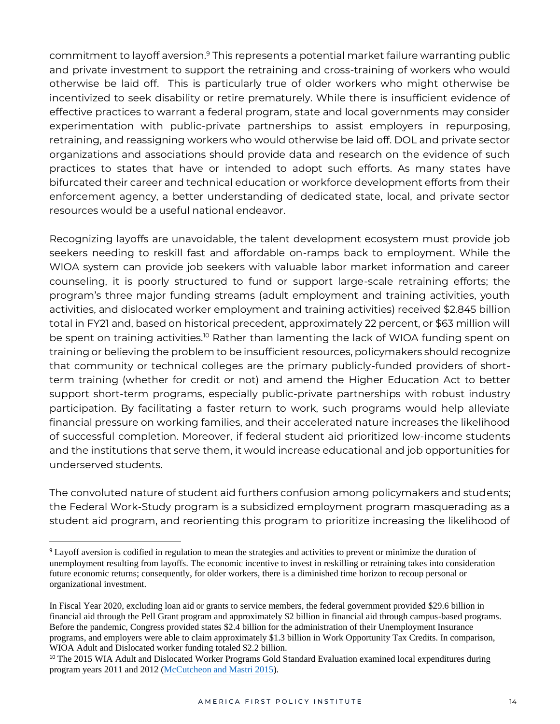commitment to layoff aversion.<sup>9</sup> This represents a potential market failure warranting public and private investment to support the retraining and cross-training of workers who would otherwise be laid off. This is particularly true of older workers who might otherwise be incentivized to seek disability or retire prematurely. While there is insufficient evidence of effective practices to warrant a federal program, state and local governments may consider experimentation with public-private partnerships to assist employers in repurposing, retraining, and reassigning workers who would otherwise be laid off. DOL and private sector organizations and associations should provide data and research on the evidence of such practices to states that have or intended to adopt such efforts. As many states have bifurcated their career and technical education or workforce development efforts from their enforcement agency, a better understanding of dedicated state, local, and private sector resources would be a useful national endeavor.

Recognizing layoffs are unavoidable, the talent development ecosystem must provide job seekers needing to reskill fast and affordable on-ramps back to employment. While the WIOA system can provide job seekers with valuable labor market information and career counseling, it is poorly structured to fund or support large-scale retraining efforts; the program's three major funding streams (adult employment and training activities, youth activities, and dislocated worker employment and training activities) received \$2.845 billion total in FY21 and, based on historical precedent, approximately 22 percent, or \$63 million will be spent on training activities.<sup>10</sup> Rather than lamenting the lack of WIOA funding spent on training or believing the problem to be insufficient resources, policymakers should recognize that community or technical colleges are the primary publicly-funded providers of shortterm training (whether for credit or not) and amend the Higher Education Act to better support short-term programs, especially public-private partnerships with robust industry participation. By facilitating a faster return to work, such programs would help alleviate financial pressure on working families, and their accelerated nature increases the likelihood of successful completion. Moreover, if federal student aid prioritized low-income students and the institutions that serve them, it would increase educational and job opportunities for underserved students.

The convoluted nature of student aid furthers confusion among policymakers and students; the Federal Work-Study program is a subsidized employment program masquerading as a student aid program, and reorienting this program to prioritize increasing the likelihood of

<sup>9</sup> Layoff aversion is codified in regulation to mean the strategies and activities to prevent or minimize the duration of unemployment resulting from layoffs. The economic incentive to invest in reskilling or retraining takes into consideration future economic returns; consequently, for older workers, there is a diminished time horizon to recoup personal or organizational investment.

In Fiscal Year 2020, excluding loan aid or grants to service members, the federal government provided \$29.6 billion in financial aid through the Pell Grant program and approximately \$2 billion in financial aid through campus-based programs. Before the pandemic, Congress provided states \$2.4 billion for the administration of their Unemployment Insurance programs, and employers were able to claim approximately \$1.3 billion in Work Opportunity Tax Credits. In comparison, WIOA Adult and Dislocated worker funding totaled \$2.2 billion.

<sup>&</sup>lt;sup>10</sup> The 2015 WIA Adult and Dislocated Worker Programs Gold Standard Evaluation examined local expenditures during program years 2011 and 2012 [\(McCutcheon and Mastri 2015\)](https://wdr.doleta.gov/research/FullText_Documents/ETAOP-2016-05_How%20Do%20Local%20Workforce%20Investment%20Areas%20Spend%20Their%20Formula%20Funds.pdf).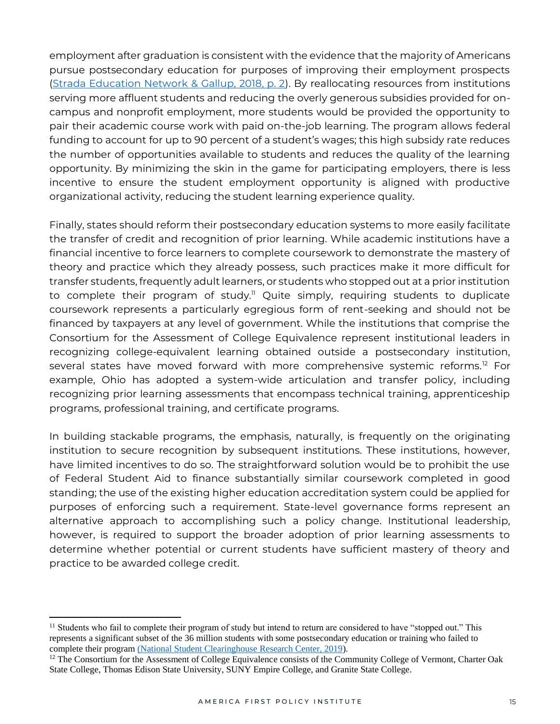employment after graduation is consistent with the evidence that the majority of Americans pursue postsecondary education for purposes of improving their employment prospects [\(Strada Education Network & Gallup, 2018, p. 2\)](https://go.stradaeducation.org/why-higher-ed). By reallocating resources from institutions serving more affluent students and reducing the overly generous subsidies provided for oncampus and nonprofit employment, more students would be provided the opportunity to pair their academic course work with paid on-the-job learning. The program allows federal funding to account for up to 90 percent of a student's wages; this high subsidy rate reduces the number of opportunities available to students and reduces the quality of the learning opportunity. By minimizing the skin in the game for participating employers, there is less incentive to ensure the student employment opportunity is aligned with productive organizational activity, reducing the student learning experience quality.

Finally, states should reform their postsecondary education systems to more easily facilitate the transfer of credit and recognition of prior learning. While academic institutions have a financial incentive to force learners to complete coursework to demonstrate the mastery of theory and practice which they already possess, such practices make it more difficult for transfer students, frequently adult learners, or students who stopped out at a prior institution to complete their program of study.<sup>11</sup> Quite simply, requiring students to duplicate coursework represents a particularly egregious form of rent-seeking and should not be financed by taxpayers at any level of government. While the institutions that comprise the Consortium for the Assessment of College Equivalence represent institutional leaders in recognizing college-equivalent learning obtained outside a postsecondary institution, several states have moved forward with more comprehensive systemic reforms.<sup>12</sup> For example, Ohio has adopted a system-wide articulation and transfer policy, including recognizing prior learning assessments that encompass technical training, apprenticeship programs, professional training, and certificate programs.

In building stackable programs, the emphasis, naturally, is frequently on the originating institution to secure recognition by subsequent institutions. These institutions, however, have limited incentives to do so. The straightforward solution would be to prohibit the use of Federal Student Aid to finance substantially similar coursework completed in good standing; the use of the existing higher education accreditation system could be applied for purposes of enforcing such a requirement. State-level governance forms represent an alternative approach to accomplishing such a policy change. Institutional leadership, however, is required to support the broader adoption of prior learning assessments to determine whether potential or current students have sufficient mastery of theory and practice to be awarded college credit.

 $<sup>11</sup>$  Students who fail to complete their program of study but intend to return are considered to have "stopped out." This</sup> represents a significant subset of the 36 million students with some postsecondary education or training who failed to complete their program [\(National Student Clearinghouse Research Center, 2019\)](about:blank).

 $12$  The Consortium for the Assessment of College Equivalence consists of the Community College of Vermont, Charter Oak State College, Thomas Edison State University, SUNY Empire College, and Granite State College.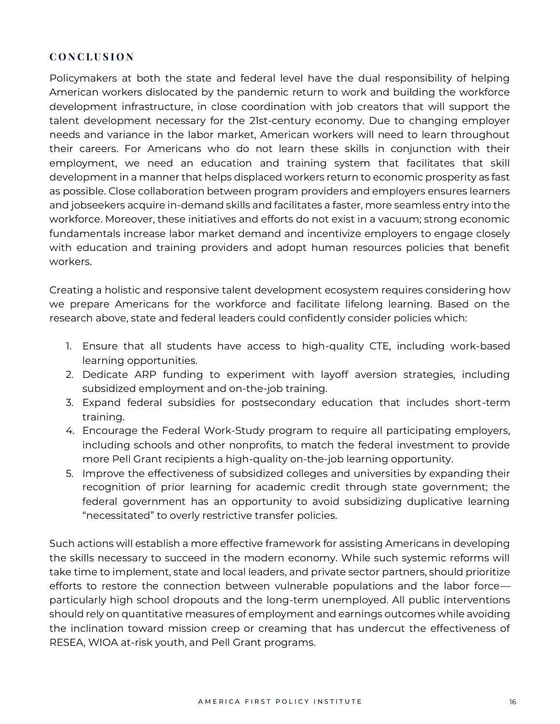## **C O N C L U S I O N**

Policymakers at both the state and federal level have the dual responsibility of helping American workers dislocated by the pandemic return to work and building the workforce development infrastructure, in close coordination with job creators that will support the talent development necessary for the 21st-century economy. Due to changing employer needs and variance in the labor market, American workers will need to learn throughout their careers. For Americans who do not learn these skills in conjunction with their employment, we need an education and training system that facilitates that skill development in a manner that helps displaced workers return to economic prosperity as fast as possible. Close collaboration between program providers and employers ensures learners and jobseekers acquire in-demand skills and facilitates a faster, more seamless entry into the workforce. Moreover, these initiatives and efforts do not exist in a vacuum; strong economic fundamentals increase labor market demand and incentivize employers to engage closely with education and training providers and adopt human resources policies that benefit workers.

Creating a holistic and responsive talent development ecosystem requires considering how we prepare Americans for the workforce and facilitate lifelong learning. Based on the research above, state and federal leaders could confidently consider policies which:

- 1. Ensure that all students have access to high-quality CTE, including work-based learning opportunities.
- 2. Dedicate ARP funding to experiment with layoff aversion strategies, including subsidized employment and on-the-job training.
- 3. Expand federal subsidies for postsecondary education that includes short-term training.
- 4. Encourage the Federal Work-Study program to require all participating employers, including schools and other nonprofits, to match the federal investment to provide more Pell Grant recipients a high-quality on-the-job learning opportunity.
- 5. Improve the effectiveness of subsidized colleges and universities by expanding their recognition of prior learning for academic credit through state government; the federal government has an opportunity to avoid subsidizing duplicative learning "necessitated" to overly restrictive transfer policies.

Such actions will establish a more effective framework for assisting Americans in developing the skills necessary to succeed in the modern economy. While such systemic reforms will take time to implement, state and local leaders, and private sector partners, should prioritize efforts to restore the connection between vulnerable populations and the labor force particularly high school dropouts and the long-term unemployed. All public interventions should rely on quantitative measures of employment and earnings outcomes while avoiding the inclination toward mission creep or creaming that has undercut the effectiveness of RESEA, WIOA at-risk youth, and Pell Grant programs.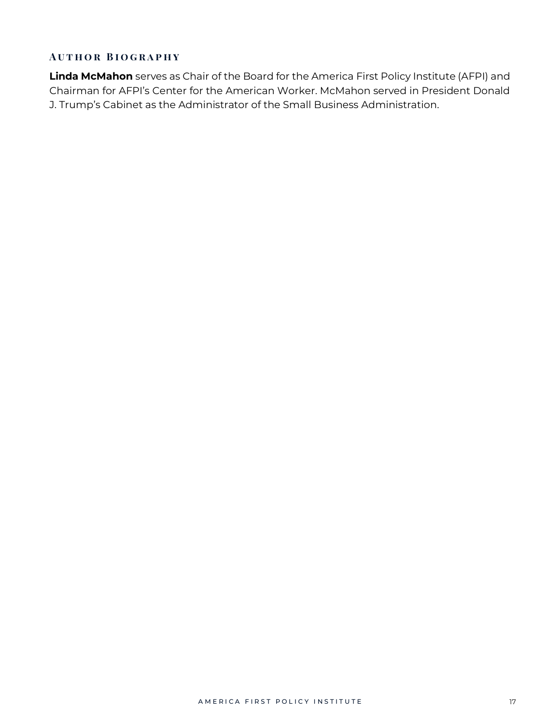## **AUTHOR BIOGRAPHY**

**Linda McMahon** serves as Chair of the Board for the America First Policy Institute (AFPI) and Chairman for AFPI's Center for the American Worker. McMahon served in President Donald J. Trump's Cabinet as the Administrator of the Small Business Administration.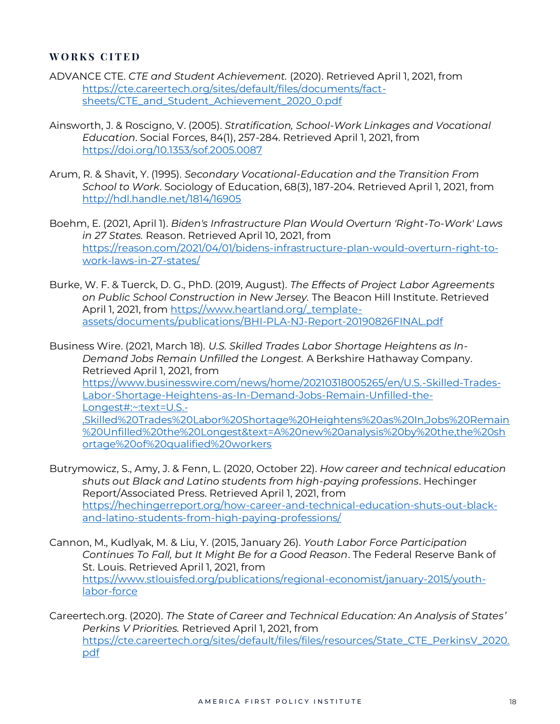### **W O R K S C I T E D**

- ADVANCE CTE. *CTE and Student Achievement.* (2020). Retrieved April 1, 2021, from [https://cte.careertech.org/sites/default/files/documents/fact](https://cte.careertech.org/sites/default/files/documents/fact-sheets/CTE_and_Student_Achievement_2020_0.pdf)[sheets/CTE\\_and\\_Student\\_Achievement\\_2020\\_0.pdf](https://cte.careertech.org/sites/default/files/documents/fact-sheets/CTE_and_Student_Achievement_2020_0.pdf)
- Ainsworth, J. & Roscigno, V. (2005). *Stratification, School-Work Linkages and Vocational Education*. Social Forces, 84(1), 257-284. Retrieved April 1, 2021, from <https://doi.org/10.1353/sof.2005.0087>
- Arum, R. & Shavit, Y. (1995). *Secondary Vocational-Education and the Transition From School to Work*. Sociology of Education, 68(3), 187-204. Retrieved April 1, 2021, from <http://hdl.handle.net/1814/16905>
- Boehm, E. (2021, April 1). *Biden's Infrastructure Plan Would Overturn 'Right-To-Work' Laws in 27 States.* Reason. Retrieved April 10, 2021, from [https://reason.com/2021/04/01/bidens-infrastructure-plan-would-overturn-right-to](https://reason.com/2021/04/01/bidens-infrastructure-plan-would-overturn-right-to-work-laws-in-27-states/)[work-laws-in-27-states/](https://reason.com/2021/04/01/bidens-infrastructure-plan-would-overturn-right-to-work-laws-in-27-states/)
- Burke, W. F. & Tuerck, D. G., PhD. (2019, August). *The Effects of Project Labor Agreements on Public School Construction in New Jersey.* The Beacon Hill Institute. Retrieved April 1, 2021, from [https://www.heartland.org/\\_template](https://www.heartland.org/_template-assets/documents/publications/BHI-PLA-NJ-Report-20190826FINAL.pdf)[assets/documents/publications/BHI-PLA-NJ-Report-20190826FINAL.pdf](https://www.heartland.org/_template-assets/documents/publications/BHI-PLA-NJ-Report-20190826FINAL.pdf)

Business Wire. (2021, March 18)*. U.S. Skilled Trades Labor Shortage Heightens as In-Demand Jobs Remain Unfilled the Longest.* A Berkshire Hathaway Company. Retrieved April 1, 2021, from [https://www.businesswire.com/news/home/20210318005265/en/U.S.-Skilled-Trades-](https://www.businesswire.com/news/home/20210318005265/en/U.S.-Skilled-Trades-Labor-Shortage-Heightens-as-In-Demand-Jobs-Remain-Unfilled-the-Longest#:~:text=U.S.-,Skilled%20Trades%20Labor%20Shortage%20Heightens%20as%20In,Jobs%20Remain%20Unfilled%20the%20Longest&text=A%20new%20analysis%20by%20the,the%20shortage%20of%20qualified%20workers)[Labor-Shortage-Heightens-as-In-Demand-Jobs-Remain-Unfilled-the-](https://www.businesswire.com/news/home/20210318005265/en/U.S.-Skilled-Trades-Labor-Shortage-Heightens-as-In-Demand-Jobs-Remain-Unfilled-the-Longest#:~:text=U.S.-,Skilled%20Trades%20Labor%20Shortage%20Heightens%20as%20In,Jobs%20Remain%20Unfilled%20the%20Longest&text=A%20new%20analysis%20by%20the,the%20shortage%20of%20qualified%20workers)[Longest#:~:text=U.S.-](https://www.businesswire.com/news/home/20210318005265/en/U.S.-Skilled-Trades-Labor-Shortage-Heightens-as-In-Demand-Jobs-Remain-Unfilled-the-Longest#:~:text=U.S.-,Skilled%20Trades%20Labor%20Shortage%20Heightens%20as%20In,Jobs%20Remain%20Unfilled%20the%20Longest&text=A%20new%20analysis%20by%20the,the%20shortage%20of%20qualified%20workers) [,Skilled%20Trades%20Labor%20Shortage%20Heightens%20as%20In,Jobs%20Remain](https://www.businesswire.com/news/home/20210318005265/en/U.S.-Skilled-Trades-Labor-Shortage-Heightens-as-In-Demand-Jobs-Remain-Unfilled-the-Longest#:~:text=U.S.-,Skilled%20Trades%20Labor%20Shortage%20Heightens%20as%20In,Jobs%20Remain%20Unfilled%20the%20Longest&text=A%20new%20analysis%20by%20the,the%20shortage%20of%20qualified%20workers) [%20Unfilled%20the%20Longest&text=A%20new%20analysis%20by%20the,the%20sh](https://www.businesswire.com/news/home/20210318005265/en/U.S.-Skilled-Trades-Labor-Shortage-Heightens-as-In-Demand-Jobs-Remain-Unfilled-the-Longest#:~:text=U.S.-,Skilled%20Trades%20Labor%20Shortage%20Heightens%20as%20In,Jobs%20Remain%20Unfilled%20the%20Longest&text=A%20new%20analysis%20by%20the,the%20shortage%20of%20qualified%20workers) [ortage%20of%20qualified%20workers](https://www.businesswire.com/news/home/20210318005265/en/U.S.-Skilled-Trades-Labor-Shortage-Heightens-as-In-Demand-Jobs-Remain-Unfilled-the-Longest#:~:text=U.S.-,Skilled%20Trades%20Labor%20Shortage%20Heightens%20as%20In,Jobs%20Remain%20Unfilled%20the%20Longest&text=A%20new%20analysis%20by%20the,the%20shortage%20of%20qualified%20workers)

- Butrymowicz, S., Amy, J. & Fenn, L. (2020, October 22). *How career and technical education shuts out Black and Latino students from high-paying professions*. Hechinger Report/Associated Press. Retrieved April 1, 2021, from [https://hechingerreport.org/how-career-and-technical-education-shuts-out-black](about:blank)[and-latino-students-from-high-paying-professions/](about:blank)
- Cannon, M., Kudlyak, M. & Liu, Y. (2015, January 26). *Youth Labor Force Participation Continues To Fall, but It Might Be for a Good Reason*. The Federal Reserve Bank of St. Louis. Retrieved April 1, 2021, from [https://www.stlouisfed.org/publications/regional-economist/january-2015/youth](about:blank)[labor-force](about:blank)
- Careertech.org. (2020). *The State of Career and Technical Education: An Analysis of States' Perkins V Priorities.* Retrieved April 1, 2021, from [https://cte.careertech.org/sites/default/files/files/resources/State\\_CTE\\_PerkinsV\\_2020.](about:blank) [pdf](about:blank)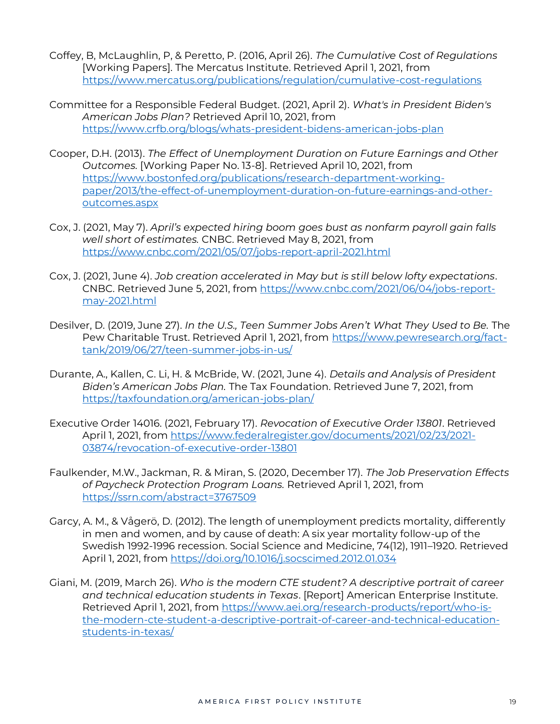- Coffey, B, McLaughlin, P, & Peretto, P. (2016, April 26). *The Cumulative Cost of Regulations* [Working Papers]. The Mercatus Institute. Retrieved April 1, 2021, from [https://www.mercatus.org/publications/regulation/cumulative-cost-regulations](about:blank)
- Committee for a Responsible Federal Budget. (2021, April 2). *What's in President Biden's American Jobs Plan?* Retrieved April 10, 2021, from <https://www.crfb.org/blogs/whats-president-bidens-american-jobs-plan>
- Cooper, D.H. (2013). *The Effect of Unemployment Duration on Future Earnings and Other Outcomes.* [Working Paper No. 13-8]. Retrieved April 10, 2021, from [https://www.bostonfed.org/publications/research-department-working](https://www.bostonfed.org/publications/research-department-working-paper/2013/the-effect-of-unemployment-duration-on-future-earnings-and-other-outcomes.aspx)[paper/2013/the-effect-of-unemployment-duration-on-future-earnings-and-other](https://www.bostonfed.org/publications/research-department-working-paper/2013/the-effect-of-unemployment-duration-on-future-earnings-and-other-outcomes.aspx)[outcomes.aspx](https://www.bostonfed.org/publications/research-department-working-paper/2013/the-effect-of-unemployment-duration-on-future-earnings-and-other-outcomes.aspx)
- Cox, J. (2021, May 7). *April's expected hiring boom goes bust as nonfarm payroll gain falls well short of estimates.* CNBC. Retrieved May 8, 2021, from <https://www.cnbc.com/2021/05/07/jobs-report-april-2021.html>
- Cox, J. (2021, June 4). *Job creation accelerated in May but is still below lofty expectations*. CNBC. Retrieved June 5, 2021, from [https://www.cnbc.com/2021/06/04/jobs-report](https://www.cnbc.com/2021/06/04/jobs-report-may-2021.html)[may-2021.html](https://www.cnbc.com/2021/06/04/jobs-report-may-2021.html)
- Desilver, D. (2019, June 27). *In the U.S., Teen Summer Jobs Aren't What They Used to Be.* The Pew Charitable Trust. Retrieved April 1, 2021, from [https://www.pewresearch.org/fact](about:blank)[tank/2019/06/27/teen-summer-jobs-in-us/](about:blank)
- Durante, A., Kallen, C. Li, H. & McBride, W. (2021, June 4). *Details and Analysis of President Biden's American Jobs Plan.* The Tax Foundation. Retrieved June 7, 2021, from <https://taxfoundation.org/american-jobs-plan/>
- Executive Order 14016. (2021, February 17). *Revocation of Executive Order 13801*. Retrieved April 1, 2021, from [https://www.federalregister.gov/documents/2021/02/23/2021-](https://www.federalregister.gov/documents/2021/02/23/2021-03874/revocation-of-executive-order-13801) [03874/revocation-of-executive-order-13801](https://www.federalregister.gov/documents/2021/02/23/2021-03874/revocation-of-executive-order-13801)
- Faulkender, M.W., Jackman, R. & Miran, S. (2020, December 17). *The Job Preservation Effects of Paycheck Protection Program Loans.* Retrieved April 1, 2021, from <https://ssrn.com/abstract=3767509>
- Garcy, A. M., & Vågerö, D. (2012). The length of unemployment predicts mortality, differently in men and women, and by cause of death: A six year mortality follow-up of the Swedish 1992-1996 recession. Social Science and Medicine, 74(12), 1911–1920. Retrieved April 1, 2021, from [https://doi.org/10.1016/j.socscimed.2012.01.034](about:blank)
- Giani, M. (2019, March 26). *Who is the modern CTE student? A descriptive portrait of career and technical education students in Texas*. [Report] American Enterprise Institute. Retrieved April 1, 2021, from [https://www.aei.org/research-products/report/who-is](about:blank)[the-modern-cte-student-a-descriptive-portrait-of-career-and-technical-education](about:blank)[students-in-texas/](about:blank)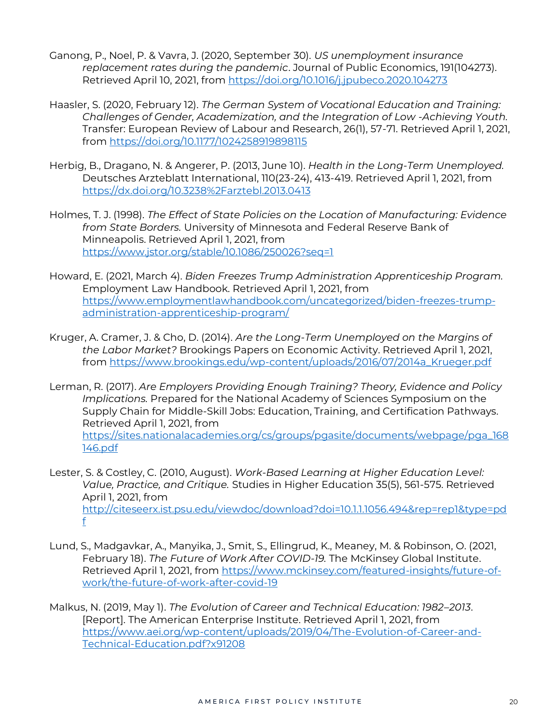- Ganong, P., Noel, P. & Vavra, J. (2020, September 30). *US unemployment insurance replacement rates during the pandemic*. Journal of Public Economics, 191(104273). Retrieved April 10, 2021, from<https://doi.org/10.1016/j.jpubeco.2020.104273>
- Haasler, S. (2020, February 12). *The German System of Vocational Education and Training: Challenges of Gender, Academization, and the Integration of Low -Achieving Youth.*  Transfer: European Review of Labour and Research, 26(1), 57-71. Retrieved April 1, 2021, from [https://doi.org/10.1177/1024258919898115](about:blank)
- Herbig, B., Dragano, N. & Angerer, P. (2013, June 10). *Health in the Long-Term Unemployed.* Deutsches Arzteblatt International, 110(23-24), 413-419. Retrieved April 1, 2021, from [https://dx.doi.org/10.3238%2Farztebl.2013.0413](about:blank)
- Holmes, T. J. (1998). *The Effect of State Policies on the Location of Manufacturing: Evidence from State Borders.* University of Minnesota and Federal Reserve Bank of Minneapolis. Retrieved April 1, 2021, from <https://www.jstor.org/stable/10.1086/250026?seq=1>
- Howard, E. (2021, March 4). *Biden Freezes Trump Administration Apprenticeship Program.*  Employment Law Handbook. Retrieved April 1, 2021, from [https://www.employmentlawhandbook.com/uncategorized/biden-freezes-trump](https://www.employmentlawhandbook.com/uncategorized/biden-freezes-trump-administration-apprenticeship-program/)[administration-apprenticeship-program/](https://www.employmentlawhandbook.com/uncategorized/biden-freezes-trump-administration-apprenticeship-program/)
- Kruger, A. Cramer, J. & Cho, D. (2014). *Are the Long-Term Unemployed on the Margins of the Labor Market?* Brookings Papers on Economic Activity. Retrieved April 1, 2021, from [https://www.brookings.edu/wp-content/uploads/2016/07/2014a\\_Krueger.pdf](about:blank)
- Lerman, R. (2017). *Are Employers Providing Enough Training? Theory, Evidence and Policy Implications.* Prepared for the National Academy of Sciences Symposium on the Supply Chain for Middle-Skill Jobs: Education, Training, and Certification Pathways. Retrieved April 1, 2021, from [https://sites.nationalacademies.org/cs/groups/pgasite/documents/webpage/pga\\_168](about:blank) [146.pdf](about:blank)
- Lester, S. & Costley, C. (2010, August). *Work-Based Learning at Higher Education Level: Value, Practice, and Critique.* Studies in Higher Education 35(5), 561-575. Retrieved April 1, 2021, from [http://citeseerx.ist.psu.edu/viewdoc/download?doi=10.1.1.1056.494&rep=rep1&type=pd](about:blank) [f](about:blank)
- Lund, S., Madgavkar, A., Manyika, J., Smit, S., Ellingrud, K., Meaney, M. & Robinson, O. (2021, February 18). *The Future of Work After COVID-19.* The McKinsey Global Institute. Retrieved April 1, 2021, from [https://www.mckinsey.com/featured-insights/future-of](about:blank)[work/the-future-of-work-after-covid-19](about:blank)
- Malkus, N. (2019, May 1). *The Evolution of Career and Technical Education: 1982–2013*. [Report]. The American Enterprise Institute. Retrieved April 1, 2021, from [https://www.aei.org/wp-content/uploads/2019/04/The-Evolution-of-Career-and-](about:blank)[Technical-Education.pdf?x91208](about:blank)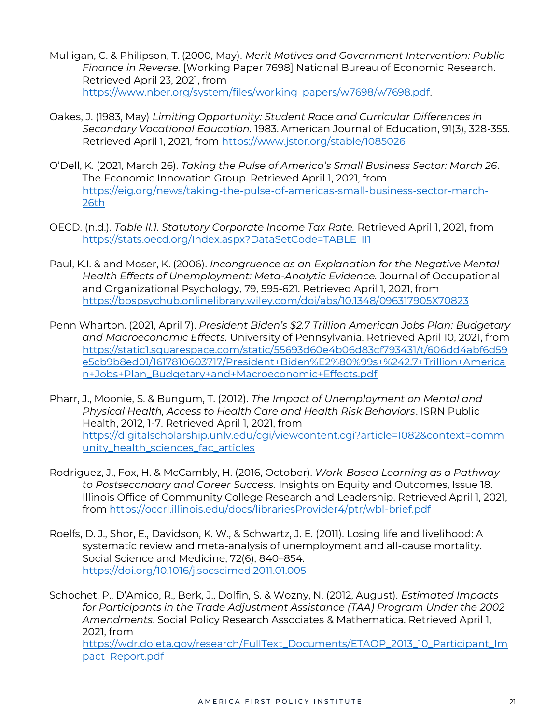- Mulligan, C. & Philipson, T. (2000, May). *Merit Motives and Government Intervention: Public Finance in Reverse.* [Working Paper 7698] National Bureau of Economic Research. Retrieved April 23, 2021, from [https://www.nber.org/system/files/working\\_papers/w7698/w7698.pdf.](https://www.nber.org/system/files/working_papers/w7698/w7698.pdf)
- Oakes, J. (1983, May) *Limiting Opportunity: Student Race and Curricular Differences in Secondary Vocational Education.* 1983. American Journal of Education, 91(3), 328-355. Retrieved April 1, 2021, from [https://www.jstor.org/stable/1085026](about:blank)
- O'Dell, K. (2021, March 26). *Taking the Pulse of America's Small Business Sector: March 26*. The Economic Innovation Group. Retrieved April 1, 2021, from [https://eig.org/news/taking-the-pulse-of-americas-small-business-sector-march-](about:blank)[26th](about:blank)
- OECD. (n.d.). *Table II.1. Statutory Corporate Income Tax Rate.* Retrieved April 1, 2021, from [https://stats.oecd.org/Index.aspx?DataSetCode=TABLE\\_II1](https://stats.oecd.org/Index.aspx?DataSetCode=TABLE_II1)
- Paul, K.I. & and Moser, K. (2006). *Incongruence as an Explanation for the Negative Mental Health Effects of Unemployment: Meta-Analytic Evidence.* Journal of Occupational and Organizational Psychology, 79, 595-621. Retrieved April 1, 2021, from [https://bpspsychub.onlinelibrary.wiley.com/doi/abs/10.1348/096317905X70823](about:blank)
- Penn Wharton. (2021, April 7). *President Biden's \$2.7 Trillion American Jobs Plan: Budgetary and Macroeconomic Effects.* University of Pennsylvania. Retrieved April 10, 2021, from [https://static1.squarespace.com/static/55693d60e4b06d83cf793431/t/606dd4abf6d59](https://static1.squarespace.com/static/55693d60e4b06d83cf793431/t/606dd4abf6d59e5cb9b8ed01/1617810603717/President+Biden%E2%80%99s+%242.7+Trillion+American+Jobs+Plan_Budgetary+and+Macroeconomic+Effects.pdf) [e5cb9b8ed01/1617810603717/President+Biden%E2%80%99s+%242.7+Trillion+America](https://static1.squarespace.com/static/55693d60e4b06d83cf793431/t/606dd4abf6d59e5cb9b8ed01/1617810603717/President+Biden%E2%80%99s+%242.7+Trillion+American+Jobs+Plan_Budgetary+and+Macroeconomic+Effects.pdf) [n+Jobs+Plan\\_Budgetary+and+Macroeconomic+Effects.pdf](https://static1.squarespace.com/static/55693d60e4b06d83cf793431/t/606dd4abf6d59e5cb9b8ed01/1617810603717/President+Biden%E2%80%99s+%242.7+Trillion+American+Jobs+Plan_Budgetary+and+Macroeconomic+Effects.pdf)
- Pharr, J., Moonie, S. & Bungum, T. (2012). *The Impact of Unemployment on Mental and Physical Health, Access to Health Care and Health Risk Behaviors*. ISRN Public Health, 2012, 1-7. Retrieved April 1, 2021, from [https://digitalscholarship.unlv.edu/cgi/viewcontent.cgi?article=1082&context=comm](about:blank) [unity\\_health\\_sciences\\_fac\\_articles](about:blank)
- Rodriguez, J., Fox, H. & McCambly, H. (2016, October). *Work-Based Learning as a Pathway to Postsecondary and Career Success.* Insights on Equity and Outcomes, Issue 18. Illinois Office of Community College Research and Leadership. Retrieved April 1, 2021, from [https://occrl.illinois.edu/docs/librariesProvider4/ptr/wbl-brief.pdf](about:blank)
- Roelfs, D. J., Shor, E., Davidson, K. W., & Schwartz, J. E. (2011). Losing life and livelihood: A systematic review and meta-analysis of unemployment and all-cause mortality. Social Science and Medicine, 72(6), 840–854. [https://doi.org/10.1016/j.socscimed.2011.01.005](about:blank)

Schochet. P., D'Amico, R., Berk, J., Dolfin, S. & Wozny, N. (2012, August)*. Estimated Impacts*  for Participants in the Trade Adjustment Assistance (TAA) Program Under the 2002 *Amendments*. Social Policy Research Associates & Mathematica. Retrieved April 1, 2021, from [https://wdr.doleta.gov/research/FullText\\_Documents/ETAOP\\_2013\\_10\\_Participant\\_Im](https://wdr.doleta.gov/research/FullText_Documents/ETAOP_2013_10_Participant_Impact_Report.pdf) [pact\\_Report.pdf](https://wdr.doleta.gov/research/FullText_Documents/ETAOP_2013_10_Participant_Impact_Report.pdf)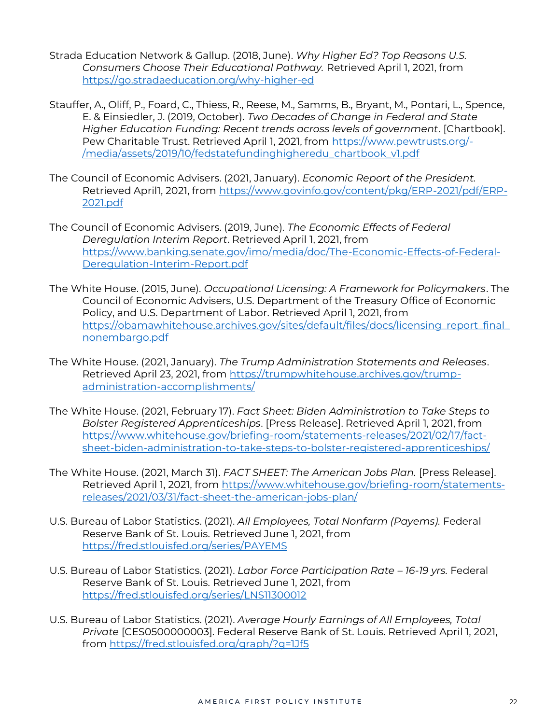- Strada Education Network & Gallup. (2018, June). *Why Higher Ed? Top Reasons U.S. Consumers Choose Their Educational Pathway.* Retrieved April 1, 2021, from <https://go.stradaeducation.org/why-higher-ed>
- Stauffer, A., Oliff, P., Foard, C., Thiess, R., Reese, M., Samms, B., Bryant, M., Pontari, L., Spence, E. & Einsiedler, J. (2019, October). *Two Decades of Change in Federal and State Higher Education Funding: Recent trends across levels of government*. [Chartbook]. Pew Charitable Trust. Retrieved April 1, 2021, from [https://www.pewtrusts.org/-](about:blank) [/media/assets/2019/10/fedstatefundinghigheredu\\_chartbook\\_v1.pdf](about:blank)
- The Council of Economic Advisers. (2021, January). *Economic Report of the President.* Retrieved April1, 2021, from [https://www.govinfo.gov/content/pkg/ERP-2021/pdf/ERP-](https://www.govinfo.gov/content/pkg/ERP-2021/pdf/ERP-2021.pdf)[2021.pdf](https://www.govinfo.gov/content/pkg/ERP-2021/pdf/ERP-2021.pdf)
- The Council of Economic Advisers. (2019, June). *The Economic Effects of Federal Deregulation Interim Report*. Retrieved April 1, 2021, from [https://www.banking.senate.gov/imo/media/doc/The-Economic-Effects-of-Federal-](about:blank)[Deregulation-Interim-Report.pdf](about:blank)
- The White House. (2015, June). *Occupational Licensing: A Framework for Policymakers*. The Council of Economic Advisers, U.S. Department of the Treasury Office of Economic Policy, and U.S. Department of Labor. Retrieved April 1, 2021, from [https://obamawhitehouse.archives.gov/sites/default/files/docs/licensing\\_report\\_final\\_](https://obamawhitehouse.archives.gov/sites/default/files/docs/licensing_report_final_nonembargo.pdf) [nonembargo.pdf](https://obamawhitehouse.archives.gov/sites/default/files/docs/licensing_report_final_nonembargo.pdf)
- The White House. (2021, January). *The Trump Administration Statements and Releases*. Retrieved April 23, 2021, from [https://trumpwhitehouse.archives.gov/trump](https://trumpwhitehouse.archives.gov/trump-administration-accomplishments/)[administration-accomplishments/](https://trumpwhitehouse.archives.gov/trump-administration-accomplishments/)
- The White House. (2021, February 17). *Fact Sheet: Biden Administration to Take Steps to Bolster Registered Apprenticeships*. [Press Release]. Retrieved April 1, 2021, from [https://www.whitehouse.gov/briefing-room/statements-releases/2021/02/17/fact](https://www.whitehouse.gov/briefing-room/statements-releases/2021/02/17/fact-sheet-biden-administration-to-take-steps-to-bolster-registered-apprenticeships/)[sheet-biden-administration-to-take-steps-to-bolster-registered-apprenticeships/](https://www.whitehouse.gov/briefing-room/statements-releases/2021/02/17/fact-sheet-biden-administration-to-take-steps-to-bolster-registered-apprenticeships/)
- The White House. (2021, March 31). *FACT SHEET: The American Jobs Plan.* [Press Release]. Retrieved April 1, 2021, from [https://www.whitehouse.gov/briefing-room/statements](https://www.whitehouse.gov/briefing-room/statements-releases/2021/03/31/fact-sheet-the-american-jobs-plan/)[releases/2021/03/31/fact-sheet-the-american-jobs-plan/](https://www.whitehouse.gov/briefing-room/statements-releases/2021/03/31/fact-sheet-the-american-jobs-plan/)
- U.S. Bureau of Labor Statistics. (2021). *All Employees, Total Nonfarm (Payems).* Federal Reserve Bank of St. Louis. Retrieved June 1, 2021, from <https://fred.stlouisfed.org/series/PAYEMS>
- U.S. Bureau of Labor Statistics. (2021). *Labor Force Participation Rate – 16-19 yrs.* Federal Reserve Bank of St. Louis. Retrieved June 1, 2021, from <https://fred.stlouisfed.org/series/LNS11300012>
- U.S. Bureau of Labor Statistics. (2021). *Average Hourly Earnings of All Employees, Total Private* [CES0500000003]. Federal Reserve Bank of St. Louis. Retrieved April 1, 2021, from [https://fred.stlouisfed.org/graph/?g=1Jf5](about:blank)